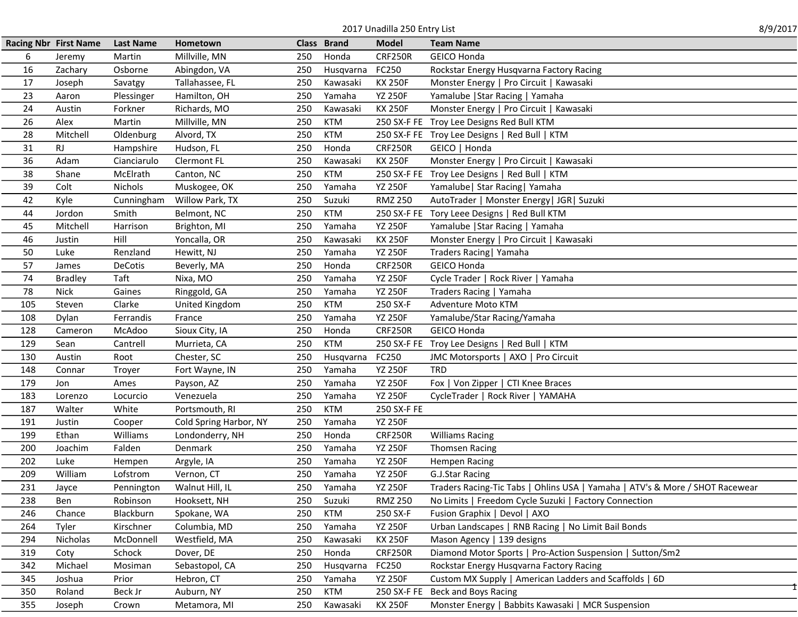| 8/9/2017<br>2017 Unadilla 250 Entry List |                              |                  |                        |     |             |                |                                                                              |  |  |
|------------------------------------------|------------------------------|------------------|------------------------|-----|-------------|----------------|------------------------------------------------------------------------------|--|--|
|                                          | <b>Racing Nbr First Name</b> | <b>Last Name</b> | Hometown               |     | Class Brand | <b>Model</b>   | <b>Team Name</b>                                                             |  |  |
| 6                                        | Jeremy                       | Martin           | Millville, MN          | 250 | Honda       | <b>CRF250R</b> | <b>GEICO Honda</b>                                                           |  |  |
| 16                                       | Zachary                      | Osborne          | Abingdon, VA           | 250 | Husqvarna   | FC250          | Rockstar Energy Husqvarna Factory Racing                                     |  |  |
| 17                                       | Joseph                       | Savatgy          | Tallahassee, FL        | 250 | Kawasaki    | <b>KX 250F</b> | Monster Energy   Pro Circuit   Kawasaki                                      |  |  |
| 23                                       | Aaron                        | Plessinger       | Hamilton, OH           | 250 | Yamaha      | <b>YZ 250F</b> | Yamalube   Star Racing   Yamaha                                              |  |  |
| 24                                       | Austin                       | Forkner          | Richards, MO           | 250 | Kawasaki    | <b>KX 250F</b> | Monster Energy   Pro Circuit   Kawasaki                                      |  |  |
| 26                                       | Alex                         | Martin           | Millville, MN          | 250 | <b>KTM</b>  |                | 250 SX-F FE Troy Lee Designs Red Bull KTM                                    |  |  |
| 28                                       | Mitchell                     | Oldenburg        | Alvord, TX             | 250 | <b>KTM</b>  |                | 250 SX-F FE Troy Lee Designs   Red Bull   KTM                                |  |  |
| 31                                       | <b>RJ</b>                    | Hampshire        | Hudson, FL             | 250 | Honda       | <b>CRF250R</b> | GEICO   Honda                                                                |  |  |
| 36                                       | Adam                         | Cianciarulo      | Clermont FL            | 250 | Kawasaki    | <b>KX 250F</b> | Monster Energy   Pro Circuit   Kawasaki                                      |  |  |
| 38                                       | Shane                        | McElrath         | Canton, NC             | 250 | <b>KTM</b>  |                | 250 SX-F FE Troy Lee Designs   Red Bull   KTM                                |  |  |
| 39                                       | Colt                         | <b>Nichols</b>   | Muskogee, OK           | 250 | Yamaha      | <b>YZ 250F</b> | Yamalube   Star Racing   Yamaha                                              |  |  |
| 42                                       | Kyle                         | Cunningham       | Willow Park, TX        | 250 | Suzuki      | <b>RMZ 250</b> | AutoTrader   Monster Energy   JGR   Suzuki                                   |  |  |
| 44                                       | Jordon                       | Smith            | Belmont, NC            | 250 | <b>KTM</b>  |                | 250 SX-F FE Tory Leee Designs   Red Bull KTM                                 |  |  |
| 45                                       | Mitchell                     | Harrison         | Brighton, MI           | 250 | Yamaha      | <b>YZ 250F</b> | Yamalube   Star Racing   Yamaha                                              |  |  |
| 46                                       | Justin                       | Hill             | Yoncalla, OR           | 250 | Kawasaki    | <b>KX 250F</b> | Monster Energy   Pro Circuit   Kawasaki                                      |  |  |
| 50                                       | Luke                         | Renzland         | Hewitt, NJ             | 250 | Yamaha      | <b>YZ 250F</b> | Traders Racing   Yamaha                                                      |  |  |
| 57                                       | James                        | DeCotis          | Beverly, MA            | 250 | Honda       | <b>CRF250R</b> | <b>GEICO Honda</b>                                                           |  |  |
| 74                                       | <b>Bradley</b>               | Taft             | Nixa, MO               | 250 | Yamaha      | <b>YZ 250F</b> | Cycle Trader   Rock River   Yamaha                                           |  |  |
| 78                                       | Nick                         | Gaines           | Ringgold, GA           | 250 | Yamaha      | <b>YZ 250F</b> | Traders Racing   Yamaha                                                      |  |  |
| 105                                      | Steven                       | Clarke           | United Kingdom         | 250 | <b>KTM</b>  | 250 SX-F       | Adventure Moto KTM                                                           |  |  |
| 108                                      | Dylan                        | Ferrandis        | France                 | 250 | Yamaha      | <b>YZ 250F</b> | Yamalube/Star Racing/Yamaha                                                  |  |  |
| 128                                      | Cameron                      | McAdoo           | Sioux City, IA         | 250 | Honda       | <b>CRF250R</b> | <b>GEICO Honda</b>                                                           |  |  |
| 129                                      | Sean                         | Cantrell         | Murrieta, CA           | 250 | <b>KTM</b>  |                | 250 SX-F FE Troy Lee Designs   Red Bull   KTM                                |  |  |
| 130                                      | Austin                       | Root             | Chester, SC            | 250 | Husqvarna   | FC250          | JMC Motorsports   AXO   Pro Circuit                                          |  |  |
| 148                                      | Connar                       | Troyer           | Fort Wayne, IN         | 250 | Yamaha      | <b>YZ 250F</b> | <b>TRD</b>                                                                   |  |  |
| 179                                      | Jon                          | Ames             | Payson, AZ             | 250 | Yamaha      | <b>YZ 250F</b> | Fox   Von Zipper   CTI Knee Braces                                           |  |  |
| 183                                      | Lorenzo                      | Locurcio         | Venezuela              | 250 | Yamaha      | <b>YZ 250F</b> | CycleTrader   Rock River   YAMAHA                                            |  |  |
| 187                                      | Walter                       | White            | Portsmouth, RI         | 250 | <b>KTM</b>  | 250 SX-F FE    |                                                                              |  |  |
| 191                                      | Justin                       | Cooper           | Cold Spring Harbor, NY | 250 | Yamaha      | <b>YZ 250F</b> |                                                                              |  |  |
| 199                                      | Ethan                        | Williams         | Londonderry, NH        | 250 | Honda       | <b>CRF250R</b> | <b>Williams Racing</b>                                                       |  |  |
| 200                                      | Joachim                      | Falden           | Denmark                | 250 | Yamaha      | <b>YZ 250F</b> | <b>Thomsen Racing</b>                                                        |  |  |
| 202                                      | Luke                         | Hempen           | Argyle, IA             | 250 | Yamaha      | <b>YZ 250F</b> | <b>Hempen Racing</b>                                                         |  |  |
| 209                                      | William                      | Lofstrom         | Vernon, CT             | 250 | Yamaha      | <b>YZ 250F</b> | G.J.Star Racing                                                              |  |  |
| 231                                      | Jayce                        | Pennington       | Walnut Hill, IL        | 250 | Yamaha      | <b>YZ 250F</b> | Traders Racing-Tic Tabs   Ohlins USA   Yamaha   ATV's & More / SHOT Racewear |  |  |
| 238                                      | Ben                          | Robinson         | Hooksett, NH           | 250 | Suzuki      | <b>RMZ 250</b> | No Limits   Freedom Cycle Suzuki   Factory Connection                        |  |  |
| 246                                      | Chance                       | Blackburn        | Spokane, WA            | 250 | <b>KTM</b>  | 250 SX-F       | Fusion Graphix   Devol   AXO                                                 |  |  |
| 264                                      | Tyler                        | Kirschner        | Columbia, MD           | 250 | Yamaha      | <b>YZ 250F</b> | Urban Landscapes   RNB Racing   No Limit Bail Bonds                          |  |  |
| 294                                      | Nicholas                     | McDonnell        | Westfield, MA          | 250 | Kawasaki    | <b>KX 250F</b> | Mason Agency   139 designs                                                   |  |  |
| 319                                      | Coty                         | Schock           | Dover, DE              | 250 | Honda       | <b>CRF250R</b> | Diamond Motor Sports   Pro-Action Suspension   Sutton/Sm2                    |  |  |
| 342                                      | Michael                      | Mosiman          | Sebastopol, CA         | 250 | Husqvarna   | FC250          | Rockstar Energy Husqvarna Factory Racing                                     |  |  |
| 345                                      | Joshua                       | Prior            | Hebron, CT             | 250 | Yamaha      | <b>YZ 250F</b> | Custom MX Supply   American Ladders and Scaffolds   6D                       |  |  |
| 350                                      | Roland                       | Beck Jr          | Auburn, NY             | 250 | <b>KTM</b>  | 250 SX-F FE    | Beck and Boys Racing                                                         |  |  |
| 355                                      | Joseph                       | Crown            | Metamora, MI           | 250 | Kawasaki    | <b>KX 250F</b> | Monster Energy   Babbits Kawasaki   MCR Suspension                           |  |  |